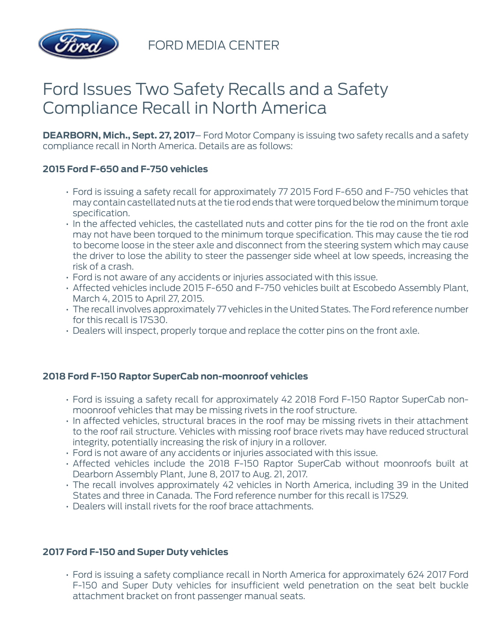

FORD MEDIA CENTER

## Ford Issues Two Safety Recalls and a Safety Compliance Recall in North America

**DEARBORN, Mich., Sept. 27, 2017**– Ford Motor Company is issuing two safety recalls and a safety compliance recall in North America. Details are as follows:

## **2015 Ford F-650 and F-750 vehicles**

- Ford is issuing a safety recall for approximately 77 2015 Ford F-650 and F-750 vehicles that may contain castellated nuts at the tie rod ends that were torqued below the minimum torque specification.
- In the affected vehicles, the castellated nuts and cotter pins for the tie rod on the front axle may not have been torqued to the minimum torque specification. This may cause the tie rod to become loose in the steer axle and disconnect from the steering system which may cause the driver to lose the ability to steer the passenger side wheel at low speeds, increasing the risk of a crash.
- Ford is not aware of any accidents or injuries associated with this issue.
- Affected vehicles include 2015 F-650 and F-750 vehicles built at Escobedo Assembly Plant, March 4, 2015 to April 27, 2015.
- The recall involves approximately 77 vehicles in the United States. The Ford reference number for this recall is 17S30.
- Dealers will inspect, properly torque and replace the cotter pins on the front axle.

## **2018 Ford F-150 Raptor SuperCab non-moonroof vehicles**

- Ford is issuing a safety recall for approximately 42 2018 Ford F-150 Raptor SuperCab nonmoonroof vehicles that may be missing rivets in the roof structure.
- In affected vehicles, structural braces in the roof may be missing rivets in their attachment to the roof rail structure. Vehicles with missing roof brace rivets may have reduced structural integrity, potentially increasing the risk of injury in a rollover.
- Ford is not aware of any accidents or injuries associated with this issue.
- Affected vehicles include the 2018 F-150 Raptor SuperCab without moonroofs built at Dearborn Assembly Plant, June 8, 2017 to Aug. 21, 2017.
- The recall involves approximately 42 vehicles in North America, including 39 in the United States and three in Canada. The Ford reference number for this recall is 17S29.
- Dealers will install rivets for the roof brace attachments.

## **2017 Ford F-150 and Super Duty vehicles**

• Ford is issuing a safety compliance recall in North America for approximately 624 2017 Ford F-150 and Super Duty vehicles for insufficient weld penetration on the seat belt buckle attachment bracket on front passenger manual seats.